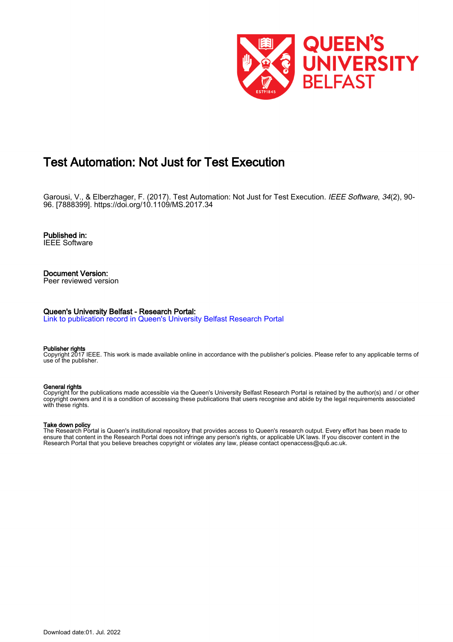

# Test Automation: Not Just for Test Execution

Garousi, V., & Elberzhager, F. (2017). Test Automation: Not Just for Test Execution. IEEE Software, 34(2), 90-96. [7888399]. <https://doi.org/10.1109/MS.2017.34>

Published in: IEEE Software

Document Version: Peer reviewed version

## Queen's University Belfast - Research Portal:

[Link to publication record in Queen's University Belfast Research Portal](https://pure.qub.ac.uk/en/publications/2a51d4dc-f7a4-4cd0-b203-fa7bc3e295e4)

#### Publisher rights

Copyright 2017 IEEE. This work is made available online in accordance with the publisher's policies. Please refer to any applicable terms of use of the publisher.

#### General rights

Copyright for the publications made accessible via the Queen's University Belfast Research Portal is retained by the author(s) and / or other copyright owners and it is a condition of accessing these publications that users recognise and abide by the legal requirements associated with these rights.

#### Take down policy

The Research Portal is Queen's institutional repository that provides access to Queen's research output. Every effort has been made to ensure that content in the Research Portal does not infringe any person's rights, or applicable UK laws. If you discover content in the Research Portal that you believe breaches copyright or violates any law, please contact openaccess@qub.ac.uk.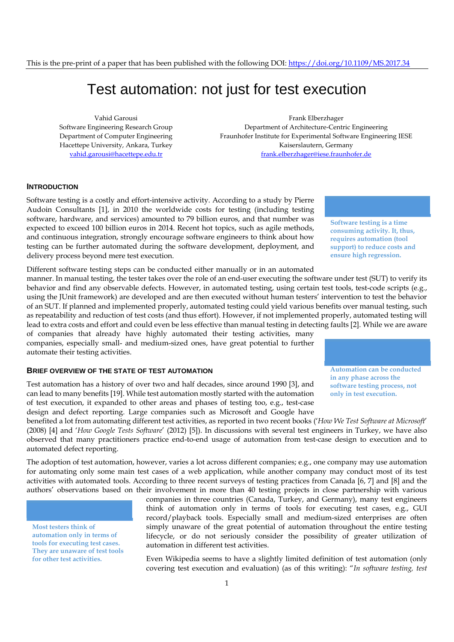# Test automation: not just for test execution

Vahid Garousi Software Engineering Research Group Department of Computer Engineering Hacettepe University, Ankara, Turkey vahid.garousi@hacettepe.edu.tr

Frank Elberzhager Department of Architecture‐Centric Engineering Fraunhofer Institute for Experimental Software Engineering IESE Kaiserslautern, Germany frank.elberzhager@iese.fraunhofer.de

## **INTRODUCTION**

Software testing is a costly and effort-intensive activity. According to a study by Pierre Audoin Consultants [1], in 2010 the worldwide costs for testing (including testing software, hardware, and services) amounted to 79 billion euros, and that number was expected to exceed 100 billion euros in 2014. Recent hot topics, such as agile methods, and continuous integration, strongly encourage software engineers to think about how testing can be further automated during the software development, deployment, and delivery process beyond mere test execution.

Different software testing steps can be conducted either manually or in an automated

manner. In manual testing, the tester takes over the role of an end-user executing the software under test (SUT) to verify its behavior and find any observable defects. However, in automated testing, using certain test tools, test-code scripts (e.g., using the JUnit framework) are developed and are then executed without human testers' intervention to test the behavior of an SUT. If planned and implemented properly, automated testing could yield various benefits over manual testing, such as repeatability and reduction of test costs (and thus effort). However, if not implemented properly, automated testing will lead to extra costs and effort and could even be less effective than manual testing in detecting faults [2]. While we are aware

of companies that already have highly automated their testing activities, many companies, especially small- and medium-sized ones, have great potential to further automate their testing activities.

## **BRIEF OVERVIEW OF THE STATE OF TEST AUTOMATION**

Test automation has a history of over two and half decades, since around 1990 [3], and can lead to many benefits [19]. While test automation mostly started with the automation of test execution, it expanded to other areas and phases of testing too, e.g., test-case design and defect reporting. Large companies such as Microsoft and Google have

**Software testing is a time consuming activity. It, thus, requires automation (tool support) to reduce costs and ensure high regression.** 

**Automation can be conducted in any phase across the software testing process, not only in test execution.** 

benefited a lot from automating different test activities, as reported in two recent books ('*How We Test Software at Microsoft*' (2008) [4] and '*How Google Tests Software*' (2012) [5]). In discussions with several test engineers in Turkey, we have also observed that many practitioners practice end-to-end usage of automation from test-case design to execution and to automated defect reporting.

The adoption of test automation, however, varies a lot across different companies; e.g., one company may use automation for automating only some main test cases of a web application, while another company may conduct most of its test activities with automated tools. According to three recent surveys of testing practices from Canada [6, 7] and [8] and the authors' observations based on their involvement in more than 40 testing projects in close partnership with various

**Most testers think of automation only in terms of tools for executing test cases. They are unaware of test tools for other test activities.** 

companies in three countries (Canada, Turkey, and Germany), many test engineers think of automation only in terms of tools for executing test cases, e.g., GUI record/playback tools. Especially small and medium-sized enterprises are often simply unaware of the great potential of automation throughout the entire testing lifecycle, or do not seriously consider the possibility of greater utilization of automation in different test activities.

Even Wikipedia seems to have a slightly limited definition of test automation (only covering test execution and evaluation) (as of this writing): "*In software testing, test*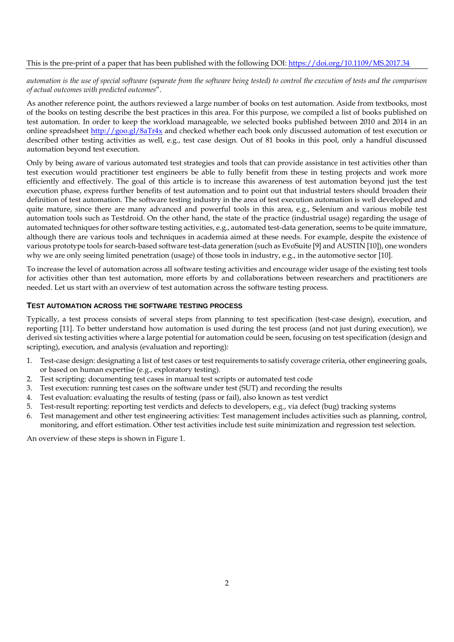## *automation is the use of special software (separate from the software being tested) to control the execution of tests and the comparison of actual outcomes with predicted outcomes*".

As another reference point, the authors reviewed a large number of books on test automation. Aside from textbooks, most of the books on testing describe the best practices in this area. For this purpose, we compiled a list of books published on test automation. In order to keep the workload manageable, we selected books published between 2010 and 2014 in an online spreadsheet http://goo.gl/8aTr4x and checked whether each book only discussed automation of test execution or described other testing activities as well, e.g., test case design. Out of 81 books in this pool, only a handful discussed automation beyond test execution.

Only by being aware of various automated test strategies and tools that can provide assistance in test activities other than test execution would practitioner test engineers be able to fully benefit from these in testing projects and work more efficiently and effectively. The goal of this article is to increase this awareness of test automation beyond just the test execution phase, express further benefits of test automation and to point out that industrial testers should broaden their definition of test automation. The software testing industry in the area of test execution automation is well developed and quite mature, since there are many advanced and powerful tools in this area, e.g., Selenium and various mobile test automation tools such as Testdroid. On the other hand, the state of the practice (industrial usage) regarding the usage of automated techniques for other software testing activities, e.g., automated test-data generation, seems to be quite immature, although there are various tools and techniques in academia aimed at these needs. For example, despite the existence of various prototype tools for search-based software test-data generation (such as EvoSuite [9] and AUSTIN [10]), one wonders why we are only seeing limited penetration (usage) of those tools in industry, e.g., in the automotive sector [10].

To increase the level of automation across all software testing activities and encourage wider usage of the existing test tools for activities other than test automation, more efforts by and collaborations between researchers and practitioners are needed. Let us start with an overview of test automation across the software testing process.

## **TEST AUTOMATION ACROSS THE SOFTWARE TESTING PROCESS**

Typically, a test process consists of several steps from planning to test specification (test-case design), execution, and reporting [11]. To better understand how automation is used during the test process (and not just during execution), we derived six testing activities where a large potential for automation could be seen, focusing on test specification (design and scripting), execution, and analysis (evaluation and reporting):

- 1. Test-case design: designating a list of test cases or test requirements to satisfy coverage criteria, other engineering goals, or based on human expertise (e.g., exploratory testing).
- 2. Test scripting: documenting test cases in manual test scripts or automated test code
- 3. Test execution: running test cases on the software under test (SUT) and recording the results
- 4. Test evaluation: evaluating the results of testing (pass or fail), also known as test verdict
- 5. Test-result reporting: reporting test verdicts and defects to developers, e.g., via defect (bug) tracking systems
- 6. Test management and other test engineering activities: Test management includes activities such as planning, control, monitoring, and effort estimation. Other test activities include test suite minimization and regression test selection.

An overview of these steps is shown in Figure 1.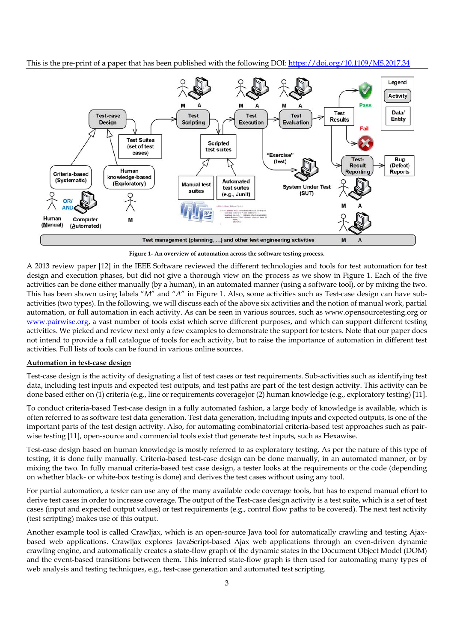

**Figure 1- An overview of automation across the software testing process.** 

A 2013 review paper [12] in the IEEE Software reviewed the different technologies and tools for test automation for test design and execution phases, but did not give a thorough view on the process as we show in Figure 1. Each of the five activities can be done either manually (by a human), in an automated manner (using a software tool), or by mixing the two. This has been shown using labels "*M*" and "*A*" in Figure 1. Also, some activities such as Test-case design can have subactivities (two types). In the following, we will discuss each of the above six activities and the notion of manual work, partial automation, or full automation in each activity. As can be seen in various sources, such as www.opensourcetesting.org or www.pairwise.org, a vast number of tools exist which serve different purposes, and which can support different testing activities. We picked and review next only a few examples to demonstrate the support for testers. Note that our paper does not intend to provide a full catalogue of tools for each activity, but to raise the importance of automation in different test activities. Full lists of tools can be found in various online sources.

#### **Automation in test-case design**

Test-case design is the activity of designating a list of test cases or test requirements. Sub-activities such as identifying test data, including test inputs and expected test outputs, and test paths are part of the test design activity. This activity can be done based either on (1) criteria (e.g., line or requirements coverage)or (2) human knowledge (e.g., exploratory testing) [11].

To conduct criteria-based Test-case design in a fully automated fashion, a large body of knowledge is available, which is often referred to as software test data generation. Test data generation, including inputs and expected outputs, is one of the important parts of the test design activity. Also, for automating combinatorial criteria-based test approaches such as pairwise testing [11], open-source and commercial tools exist that generate test inputs, such as Hexawise.

Test-case design based on human knowledge is mostly referred to as exploratory testing. As per the nature of this type of testing, it is done fully manually. Criteria-based test-case design can be done manually, in an automated manner, or by mixing the two. In fully manual criteria-based test case design, a tester looks at the requirements or the code (depending on whether black- or white-box testing is done) and derives the test cases without using any tool.

For partial automation, a tester can use any of the many available code coverage tools, but has to expend manual effort to derive test cases in order to increase coverage. The output of the Test-case design activity is a test suite, which is a set of test cases (input and expected output values) or test requirements (e.g., control flow paths to be covered). The next test activity (test scripting) makes use of this output.

Another example tool is called Crawljax, which is an open-source Java tool for automatically crawling and testing Ajaxbased web applications. Crawljax explores JavaScript-based Ajax web applications through an even-driven dynamic crawling engine, and automatically creates a state-flow graph of the dynamic states in the Document Object Model (DOM) and the event-based transitions between them. This inferred state-flow graph is then used for automating many types of web analysis and testing techniques, e.g., test-case generation and automated test scripting.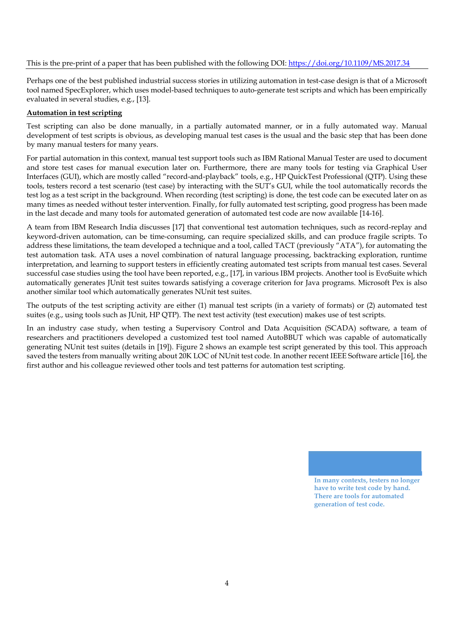Perhaps one of the best published industrial success stories in utilizing automation in test-case design is that of a Microsoft tool named SpecExplorer, which uses model-based techniques to auto-generate test scripts and which has been empirically evaluated in several studies, e.g., [13].

## **Automation in test scripting**

Test scripting can also be done manually, in a partially automated manner, or in a fully automated way. Manual development of test scripts is obvious, as developing manual test cases is the usual and the basic step that has been done by many manual testers for many years.

For partial automation in this context, manual test support tools such as IBM Rational Manual Tester are used to document and store test cases for manual execution later on. Furthermore, there are many tools for testing via Graphical User Interfaces (GUI), which are mostly called "record-and-playback" tools, e.g., HP QuickTest Professional (QTP). Using these tools, testers record a test scenario (test case) by interacting with the SUT's GUI, while the tool automatically records the test log as a test script in the background. When recording (test scripting) is done, the test code can be executed later on as many times as needed without tester intervention. Finally, for fully automated test scripting, good progress has been made in the last decade and many tools for automated generation of automated test code are now available [14-16].

A team from IBM Research India discusses [17] that conventional test automation techniques, such as record-replay and keyword-driven automation, can be time-consuming, can require specialized skills, and can produce fragile scripts. To address these limitations, the team developed a technique and a tool, called TACT (previously "ATA"), for automating the test automation task. ATA uses a novel combination of natural language processing, backtracking exploration, runtime interpretation, and learning to support testers in efficiently creating automated test scripts from manual test cases. Several successful case studies using the tool have been reported, e.g., [17], in various IBM projects. Another tool is EvoSuite which automatically generates JUnit test suites towards satisfying a coverage criterion for Java programs. Microsoft Pex is also another similar tool which automatically generates NUnit test suites.

The outputs of the test scripting activity are either (1) manual test scripts (in a variety of formats) or (2) automated test suites (e.g., using tools such as JUnit, HP QTP). The next test activity (test execution) makes use of test scripts.

In an industry case study, when testing a Supervisory Control and Data Acquisition (SCADA) software, a team of researchers and practitioners developed a customized test tool named AutoBBUT which was capable of automatically generating NUnit test suites (details in [19]). Figure 2 shows an example test script generated by this tool. This approach saved the testers from manually writing about 20K LOC of NUnit test code. In another recent IEEE Software article [16], the first author and his colleague reviewed other tools and test patterns for automation test scripting.

> **In many contexts, testers no longer have to write test code by hand. There are tools for automated generation of test code.**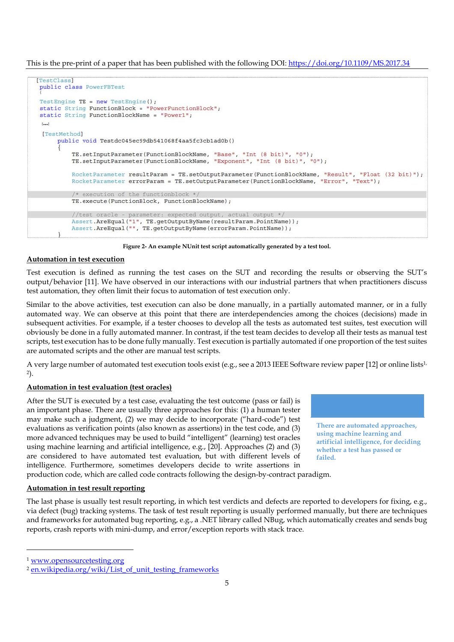

**Figure 2- An example NUnit test script automatically generated by a test tool.** 

## **Automation in test execution**

Test execution is defined as running the test cases on the SUT and recording the results or observing the SUT's output/behavior [11]. We have observed in our interactions with our industrial partners that when practitioners discuss test automation, they often limit their focus to automation of test execution only.

Similar to the above activities, test execution can also be done manually, in a partially automated manner, or in a fully automated way. We can observe at this point that there are interdependencies among the choices (decisions) made in subsequent activities. For example, if a tester chooses to develop all the tests as automated test suites, test execution will obviously be done in a fully automated manner. In contrast, if the test team decides to develop all their tests as manual test scripts, test execution has to be done fully manually. Test execution is partially automated if one proportion of the test suites are automated scripts and the other are manual test scripts.

A very large number of automated test execution tools exist (e.g., see a 2013 IEEE Software review paper [12] or online lists<sup>1,</sup> 2).

# **Automation in test evaluation (test oracles)**

After the SUT is executed by a test case, evaluating the test outcome (pass or fail) is an important phase. There are usually three approaches for this: (1) a human tester may make such a judgment, (2) we may decide to incorporate ("hard-code") test evaluations as verification points (also known as assertions) in the test code, and (3) more advanced techniques may be used to build "intelligent" (learning) test oracles using machine learning and artificial intelligence, e.g., [20]. Approaches (2) and (3) are considered to have automated test evaluation, but with different levels of intelligence. Furthermore, sometimes developers decide to write assertions in production code, which are called code contracts following the design-by-contract paradigm.

**There are automated approaches, using machine learning and artificial intelligence, for deciding whether a test has passed or** 

**failed.** 

## **Automation in test result reporting**

The last phase is usually test result reporting, in which test verdicts and defects are reported to developers for fixing, e.g., via defect (bug) tracking systems. The task of test result reporting is usually performed manually, but there are techniques and frameworks for automated bug reporting, e.g., a .NET library called NBug, which automatically creates and sends bug reports, crash reports with mini-dump, and error/exception reports with stack trace.

<sup>1</sup> www.opensourcetesting.org

 $\overline{a}$ 

<sup>2</sup> en.wikipedia.org/wiki/List\_of\_unit\_testing\_frameworks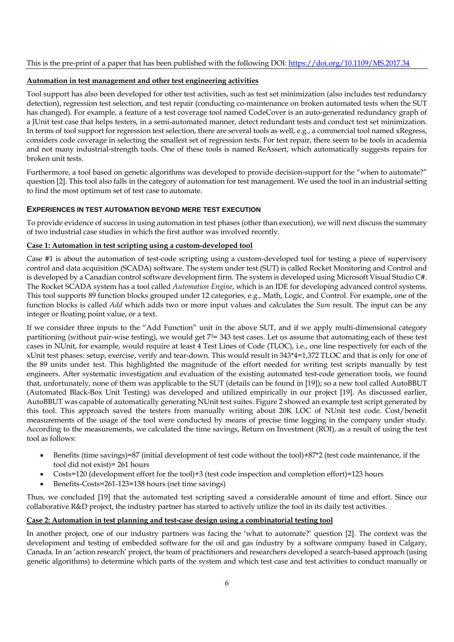## **Automation in test management and other test engineering activities**

Tool support has also been developed for other test activities, such as test set minimization (also includes test redundancy detection), regression test selection, and test repair (conducting co-maintenance on broken automated tests when the SUT has changed). For example, a feature of a test coverage tool named CodeCover is an auto-generated redundancy graph of a JUnit test case that helps testers, in a semi-automated manner, detect redundant tests and conduct test set minimization. In terms of tool support for regression test selection, there are several tools as well, e.g., a commercial tool named xRegress, considers code coverage in selecting the smallest set of regression tests. For test repair, there seem to be tools in academia and not many industrial-strength tools. One of these tools is named ReAssert, which automatically suggests repairs for broken unit tests.

Furthermore, a tool based on genetic algorithms was developed to provide decision-support for the "when to automate?" question [2]. This tool also falls in the category of automation for test management. We used the tool in an industrial setting to find the most optimum set of test case to automate.

# **EXPERIENCES IN TEST AUTOMATION BEYOND MERE TEST EXECUTION**

To provide evidence of success in using automation in test phases (other than execution), we will next discuss the summary of two industrial case studies in which the first author was involved recently.

# **Case 1: Automation in test scripting using a custom-developed tool**

Case #1 is about the automation of test-code scripting using a custom-developed tool for testing a piece of supervisory control and data acquisition (SCADA) software. The system under test (SUT) is called Rocket Monitoring and Control and is developed by a Canadian control software development firm. The system is developed using Microsoft Visual Studio C#. The Rocket SCADA system has a tool called *Automation Engine*, which is an IDE for developing advanced control systems. This tool supports 89 function blocks grouped under 12 categories, e.g., Math, Logic, and Control. For example, one of the function blocks is called *Add* which adds two or more input values and calculates the *Sum* result. The input can be any integer or floating point value, or a text.

If we consider three inputs to the "Add Function" unit in the above SUT, and if we apply multi-dimensional category partitioning (without pair-wise testing), we would get 7<sup>3</sup>= 343 test cases. Let us assume that automating each of these test cases in NUnit, for example, would require at least 4 Test Lines of Code (TLOC), i.e., one line respectively for each of the xUnit test phases: setup, exercise, verify and tear-down. This would result in 343\*4=1,372 TLOC and that is only for one of the 89 units under test. This highlighted the magnitude of the effort needed for writing test scripts manually by test engineers. After systematic investigation and evaluation of the existing automated test-code generation tools, we found that, unfortunately, none of them was applicable to the SUT (details can be found in [19]); so a new tool called AutoBBUT (Automated Black-Box Unit Testing) was developed and utilized empirically in our project [19]. As discussed earlier, AutoBBUT was capable of automatically generating NUnit test suites. Figure 2 showed an example test script generated by this tool. This approach saved the testers from manually writing about 20K LOC of NUnit test code. Cost/benefit measurements of the usage of the tool were conducted by means of precise time logging in the company under study. According to the measurements, we calculated the time savings, Return on Investment (ROI), as a result of using the test tool as follows:

- Benefits (time savings)=87 (initial development of test code without the tool)+87\*2 (test code maintenance, if the tool did not exist)= 261 hours
- Costs=120 (development effort for the tool)+3 (test code inspection and completion effort)=123 hours
- Benefits-Costs=261-123=138 hours (net time savings)

Thus, we concluded [19] that the automated test scripting saved a considerable amount of time and effort. Since our collaborative R&D project, the industry partner has started to actively utilize the tool in its daily test activities.

# **Case 2: Automation in test planning and test-case design using a combinatorial testing tool**

In another project, one of our industry partners was facing the 'what to automate?' question [2]. The context was the development and testing of embedded software for the oil and gas industry by a software company based in Calgary, Canada. In an 'action research' project, the team of practitioners and researchers developed a search-based approach (using genetic algorithms) to determine which parts of the system and which test case and test activities to conduct manually or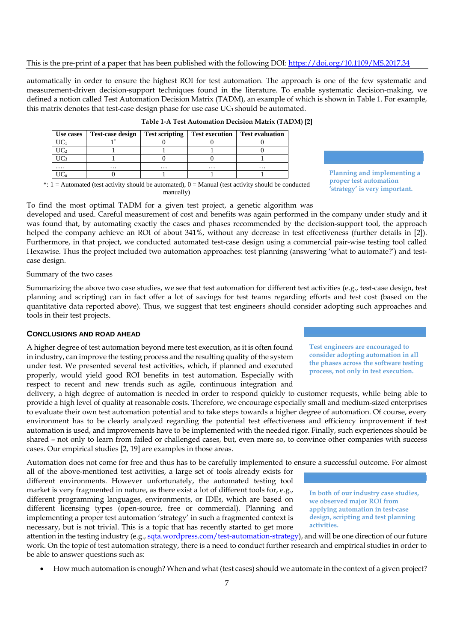automatically in order to ensure the highest ROI for test automation. The approach is one of the few systematic and measurement-driven decision-support techniques found in the literature. To enable systematic decision-making, we defined a notion called Test Automation Decision Matrix (TADM), an example of which is shown in Table 1. For example, this matrix denotes that test-case design phase for use case  $UC_1$  should be automated.

| Use cases | Test-case design | <b>Test scripting</b> | <b>Test execution</b> | <b>Test evaluation</b> |
|-----------|------------------|-----------------------|-----------------------|------------------------|
|           |                  |                       |                       |                        |
|           |                  |                       |                       |                        |
|           |                  |                       |                       |                        |
| $\cdots$  | $\cdots$         | $\cdots$              | $\cdots$              | $\cdots$               |
|           |                  |                       |                       |                        |

**Planning and implementing a proper test automation 'strategy' is very important.** 

 $*: 1 =$  Automated (test activity should be automated),  $0 =$  Manual (test activity should be conducted manually)

To find the most optimal TADM for a given test project, a genetic algorithm was developed and used. Careful measurement of cost and benefits was again performed in the company under study and it

was found that, by automating exactly the cases and phases recommended by the decision-support tool, the approach helped the company achieve an ROI of about 341%, without any decrease in test effectiveness (further details in [2]). Furthermore, in that project, we conducted automated test-case design using a commercial pair-wise testing tool called Hexawise. Thus the project included two automation approaches: test planning (answering 'what to automate?') and testcase design.

## Summary of the two cases

Summarizing the above two case studies, we see that test automation for different test activities (e.g., test-case design, test planning and scripting) can in fact offer a lot of savings for test teams regarding efforts and test cost (based on the quantitative data reported above). Thus, we suggest that test engineers should consider adopting such approaches and tools in their test projects.

## **CONCLUSIONS AND ROAD AHEAD**

A higher degree of test automation beyond mere test execution, as it is often found in industry, can improve the testing process and the resulting quality of the system under test. We presented several test activities, which, if planned and executed properly, would yield good ROI benefits in test automation. Especially with respect to recent and new trends such as agile, continuous integration and

delivery, a high degree of automation is needed in order to respond quickly to customer requests, while being able to provide a high level of quality at reasonable costs. Therefore, we encourage especially small and medium-sized enterprises to evaluate their own test automation potential and to take steps towards a higher degree of automation. Of course, every environment has to be clearly analyzed regarding the potential test effectiveness and efficiency improvement if test automation is used, and improvements have to be implemented with the needed rigor. Finally, such experiences should be shared – not only to learn from failed or challenged cases, but, even more so, to convince other companies with success cases. Our empirical studies [2, 19] are examples in those areas.

Automation does not come for free and thus has to be carefully implemented to ensure a successful outcome. For almost

all of the above-mentioned test activities, a large set of tools already exists for different environments. However unfortunately, the automated testing tool market is very fragmented in nature, as there exist a lot of different tools for, e.g., different programming languages, environments, or IDEs, which are based on different licensing types (open-source, free or commercial). Planning and implementing a proper test automation 'strategy' in such a fragmented context is necessary, but is not trivial. This is a topic that has recently started to get more

attention in the testing industry (e.g., sqta.wordpress.com/test-automation-strategy), and will be one direction of our future work. On the topic of test automation strategy, there is a need to conduct further research and empirical studies in order to be able to answer questions such as:

How much automation is enough? When and what (test cases) should we automate in the context of a given project?

**Test engineers are encouraged to consider adopting automation in all the phases across the software testing process, not only in test execution.** 

**In both of our industry case studies, we observed major ROI from applying automation in test-case design, scripting and test planning activities.**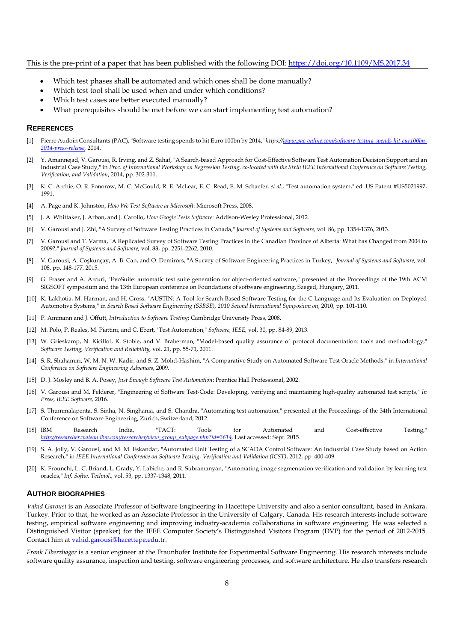- Which test phases shall be automated and which ones shall be done manually?
- Which test tool shall be used when and under which conditions?
- Which test cases are better executed manually?
- What prerequisites should be met before we can start implementing test automation?

### **REFERENCES**

- Pierre Audoin Consultants (PAC), "Software testing spends to hit Euro 100bn by 2014," *https://www.pac-online.com/software-testing-spends-hit-eur100bn-2014-press-release,* 2014.
- [2] Y. Amannejad, V. Garousi, R. Irving, and Z. Sahaf, "A Search-based Approach for Cost-Effective Software Test Automation Decision Support and an Industrial Case Study," in *Proc. of International Workshop on Regression Testing, co-located with the Sixth IEEE International Conference on Software Testing, Verification, and Validation*, 2014, pp. 302-311.
- [3] K. C. Archie, O. R. Fonorow, M. C. McGould, R. E. McLear, E. C. Read, E. M. Schaefer*, et al.*, "Test automation system," ed: US Patent #US5021997, 1991.
- [4] A. Page and K. Johnston, *How We Test Software at Microsoft*: Microsoft Press, 2008.
- [5] J. A. Whittaker, J. Arbon, and J. Carollo, *How Google Tests Software*: Addison-Wesley Professional, 2012.
- [6] V. Garousi and J. Zhi, "A Survey of Software Testing Practices in Canada," *Journal of Systems and Software,* vol. 86, pp. 1354-1376, 2013.
- [7] V. Garousi and T. Varma, "A Replicated Survey of Software Testing Practices in the Canadian Province of Alberta: What has Changed from 2004 to 2009?," *Journal of Systems and Software,* vol. 83, pp. 2251-2262, 2010.
- [8] V. Garousi, A. Coşkunçay, A. B. Can, and O. Demirörs, "A Survey of Software Engineering Practices in Turkey," *Journal of Systems and Software,* vol. 108, pp. 148-177, 2015.
- [9] G. Fraser and A. Arcuri, "EvoSuite: automatic test suite generation for object-oriented software," presented at the Proceedings of the 19th ACM SIGSOFT symposium and the 13th European conference on Foundations of software engineering, Szeged, Hungary, 2011.
- [10] K. Lakhotia, M. Harman, and H. Gross, "AUSTIN: A Tool for Search Based Software Testing for the C Language and Its Evaluation on Deployed Automotive Systems," in *Search Based Software Engineering (SSBSE), 2010 Second International Symposium on*, 2010, pp. 101-110.
- [11] P. Ammann and J. Offutt, *Introduction to Software Testing*: Cambridge University Press, 2008.
- [12] M. Polo, P. Reales, M. Piattini, and C. Ebert, "Test Automation," *Software, IEEE,* vol. 30, pp. 84-89, 2013.
- [13] W. Grieskamp, N. Kicillof, K. Stobie, and V. Braberman, "Model-based quality assurance of protocol documentation: tools and methodology," *Software Testing, Verification and Reliability,* vol. 21, pp. 55-71, 2011.
- [14] S. R. Shahamiri, W. M. N. W. Kadir, and S. Z. Mohd-Hashim, "A Comparative Study on Automated Software Test Oracle Methods," in *International Conference on Software Engineering Advances*, 2009.
- [15] D. J. Mosley and B. A. Posey, *Just Enough Software Test Automation*: Prentice Hall Professional, 2002.
- [16] V. Garousi and M. Felderer, "Engineering of Software Test-Code: Developing, verifying and maintaining high-quality automated test scripts," *In Press, IEEE Software,* 2016.
- [17] S. Thummalapenta, S. Sinha, N. Singhania, and S. Chandra, "Automating test automation," presented at the Proceedings of the 34th International Conference on Software Engineering, Zurich, Switzerland, 2012.
- [18] IBM Research India, "TACT: Tools for Automated and Cost-effective Testing," *http://researcher.watson.ibm.com/researcher/view\_group\_subpage.php?id=3614,* Last accessed: Sept. 2015.
- [19] S. A. Jolly, V. Garousi, and M. M. Eskandar, "Automated Unit Testing of a SCADA Control Software: An Industrial Case Study based on Action Research," in *IEEE International Conference on Software Testing, Verification and Validation (ICST)*, 2012, pp. 400-409.
- [20] K. Frounchi, L. C. Briand, L. Grady, Y. Labiche, and R. Subramanyan, "Automating image segmentation verification and validation by learning test oracles," *Inf. Softw. Technol.,* vol. 53, pp. 1337-1348, 2011.

#### **AUTHOR BIOGRAPHIES**

*Vahid Garousi* is an Associate Professor of Software Engineering in Hacettepe University and also a senior consultant, based in Ankara, Turkey. Prior to that, he worked as an Associate Professor in the University of Calgary, Canada. His research interests include software testing, empirical software engineering and improving industry-academia collaborations in software engineering. He was selected a Distinguished Visitor (speaker) for the IEEE Computer Society's Distinguished Visitors Program (DVP) for the period of 2012-2015. Contact him at vahid.garousi@hacettepe.edu.tr.

*Frank Elberzhager* is a senior engineer at the Fraunhofer Institute for Experimental Software Engineering. His research interests include software quality assurance, inspection and testing, software engineering processes, and software architecture. He also transfers research